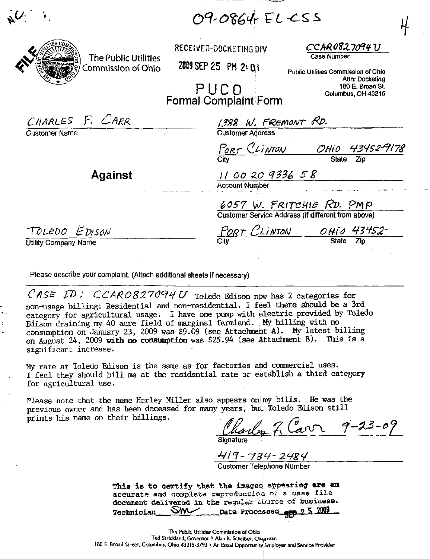09-0864-EL-CSS

Commission of Ohio

Customer Name

RECEIVED-DOCKETING DIV

2009 SEP 25 PM 2: 01

AR 0827094 U

Public Utilities Commission of Ohio Altn: Docketing 180 E. Broad St. Columbus, OH 43215

PUCO **Formal Complaint Form** 

CHARLES F. CARR 1388 W. FREMONT RD.<br>Customer Address PORT CLINTON OHIO 43452-9178 11 00 20 9336 58<br>Account Number **Against** 

6057 W. FRITCHIE RD. PMP<br>Customer Service Address (if different from above)

TOLEDO EDISON

Utility Company Name

PORT CLINTON OHIO 43452-

Please describe your complaint. (Attach additional sheets if necessary)

The Public Utilities

CASE ID: CCARO827094U Toledo Edison now has 2 categories for non-usage billing: Residential and non-residential. I feel there should be a 3rd category for agricultural usage. I have one pump with electric provided by Toledo Edison draining my 40 acre field of marginal farmland. My billing with no consumption on January 23, 2009 was \$9.09 (see Attachment A). My latest billing on August 24, 2009 with no consumption was \$25.94 (see Attachment B). This is a significant increase.

My rate at Toledo Edison is the same as for factories and commercial uses. I feel they should bill me at the residential rate or establish a third category for agricultural use.

Please note that the name Harley Miller also appears on my bills. He was the previous owner and has been deceased for many years, but Toledo Edison still prints his name on their billings.

Charles 7 Carr 9-23-09

419-734-2484 **Customer Telephone Number** 

This is to certify that the images appearing are an accurate and complete reproduction of a case file document delivered in the regular course of business. Date Processed erp 2 5 2009 **Technician**  $\mathsf{W}$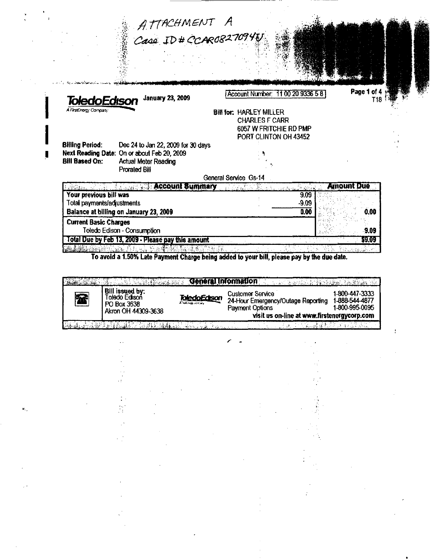|                              | ATTACHMENT A<br>Case ID # CCAR08270940                      |                                   |                 |            |
|------------------------------|-------------------------------------------------------------|-----------------------------------|-----------------|------------|
|                              |                                                             |                                   |                 |            |
|                              |                                                             |                                   |                 |            |
|                              |                                                             |                                   |                 |            |
|                              |                                                             |                                   |                 |            |
|                              |                                                             | Account Number: 11 00 20 9336 5 8 |                 | Page 1 of  |
| ToledoEdison                 | <b>January 23, 2009</b>                                     |                                   |                 | T18        |
| A FirstEnergy Company        |                                                             | <b>Bill for: HARLEY MILLER</b>    |                 |            |
|                              |                                                             | <b>CHARLES F CARR</b>             |                 |            |
|                              |                                                             | 6057 W FRITCHIE RD PMP            |                 |            |
|                              |                                                             | PORT CLINTON OH 43452             |                 |            |
| <b>Billing Period:</b>       | Dec 24 to Jan 22, 2009 for 30 days                          |                                   |                 |            |
| <b>Bill Based On:</b>        | Next Reading Date: On or about Feb 20, 2009                 |                                   |                 |            |
|                              | <b>Actual Meter Reading</b>                                 |                                   |                 |            |
|                              | <b>Prorated Bill</b>                                        |                                   |                 |            |
|                              |                                                             |                                   |                 |            |
|                              |                                                             | General Service Gs-14             |                 |            |
|                              | <b><i>Contains and the state of the Account Summary</i></b> | 医后庭病 医牙根 風光                       | le virine       | Amount Due |
| Your previous bill was       |                                                             |                                   | 9.09            |            |
| Total payments/adjustments   | Balance at billing on January 23, 2009                      |                                   | $-9.09$<br>0.00 | 0.00       |
|                              |                                                             |                                   |                 |            |
| <b>Current Basic Charges</b> | Toledo Edison - Consumption                                 |                                   |                 | -9.09      |

 $\frac{9}{3}$ 

 $\bar{z}$ 

 $\frac{1}{2} \left( \frac{1}{2} \right)^2$ 

 $\hat{\mathbf{s}}_{ij}$ 

 $\bar{z}$ 

To avoid a 1.50% Late Payment Charge being added to your bill, please pay by the due date.

| Bill issued by:<br>Toledo Edison<br>PO Box 3638<br>Akron OH 44309-3638 | <b>A Teaching Common</b> | <b>Customer Service</b>        |  | 24-Hour Emergency/Outage Reporting<br>Payment Options | 1-800-447-3333<br>1-888-544-4877<br>1-800-995-0095<br>visit us on-line at www.firstenergycorp.com |
|------------------------------------------------------------------------|--------------------------|--------------------------------|--|-------------------------------------------------------|---------------------------------------------------------------------------------------------------|
| a shekarar 2007 - 2018 - 2029 Anii 2020                                |                          | <b>Change of the Committee</b> |  |                                                       |                                                                                                   |
|                                                                        |                          |                                |  |                                                       |                                                                                                   |
|                                                                        |                          |                                |  |                                                       |                                                                                                   |
|                                                                        |                          |                                |  |                                                       |                                                                                                   |
|                                                                        |                          |                                |  |                                                       |                                                                                                   |
|                                                                        |                          |                                |  |                                                       |                                                                                                   |
|                                                                        |                          |                                |  |                                                       |                                                                                                   |
|                                                                        |                          |                                |  |                                                       |                                                                                                   |

 $\cdot$ 

 $\mathcal{L}^{(1)}$ 

 $\cdot$  $\pm$   $\mathbf{f}$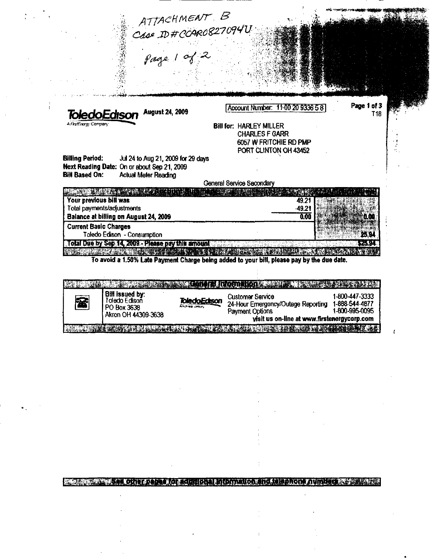|                                                                                                                                                                     | ATTACHMENT B<br>Case ID#CORO827094U                                                                                                                                                |
|---------------------------------------------------------------------------------------------------------------------------------------------------------------------|------------------------------------------------------------------------------------------------------------------------------------------------------------------------------------|
|                                                                                                                                                                     |                                                                                                                                                                                    |
| <b>August 24, 2009</b><br>ToledoEdison                                                                                                                              | Page 1 of 3<br>Account Number: 11:00 20 9336 5 8<br>T <sub>18</sub>                                                                                                                |
| A FirstEnorgy Company                                                                                                                                               | <b>Bill for: HARLEY MILLER</b><br><b>CHARLES F GARR</b><br>6057 W FRITCHIE RD PMP<br>PORT CLINTON OH 43452                                                                         |
| <b>Billing Period:</b><br>Jul 24 to Aug 21, 2009 for 29 days<br>Next Reading Date: On or about Sep 21, 2009<br><b>Bill Based On:</b><br><b>Actual Meter Reading</b> | <b>General Service Secondary</b>                                                                                                                                                   |
| A TARA TA LA TARA DE LA TARA<br>Your previous bill was<br>Total payments/adjustments                                                                                | 49.21<br>-49.21                                                                                                                                                                    |
| Balance at billing on August 24, 2009<br><b>Current Basic Charges</b><br>Toledo Edison - Consumption                                                                | 0.00<br>0. M<br>25.94                                                                                                                                                              |
| Total Due by Sep 14, 2009 - Please pay this amount<br>LAND LAND DE LAND TREAD DE                                                                                    | ★長 駅 3<br>STANDER TENNIS<br>VARDER N<br><b>RELATIVE</b><br>To avoid a 1.50% Late Payment Charge being added to your bill, please pay by the due date.                              |
|                                                                                                                                                                     | <b>Rometors</b> 33<br>t morter e<br>SHAKE MARKET                                                                                                                                   |
| <b>Bill issued by:</b><br>Toledo Edison<br>密<br>PO Box 3638<br>Akron OH 44309-3638                                                                                  | 1-800-447-3333<br><b>Customer Service</b><br>24-Hour Emergency/Outage Reporting 1-888-544-4877<br>1-800-995-0095<br>Payment Options<br>visit us on-line at www.firstenergycorp.com |

Reserved and property that the property of the property of the second second second **RANCH AN** 

 $\pmb{\ell}$ 

**EXAMPLE IN THE CONTACTOR OF A CONTACT PRODUCTION OF A REPORT OF A CONTACTOR OF A REPORT OF A REPORT OF A REPORT OF A**